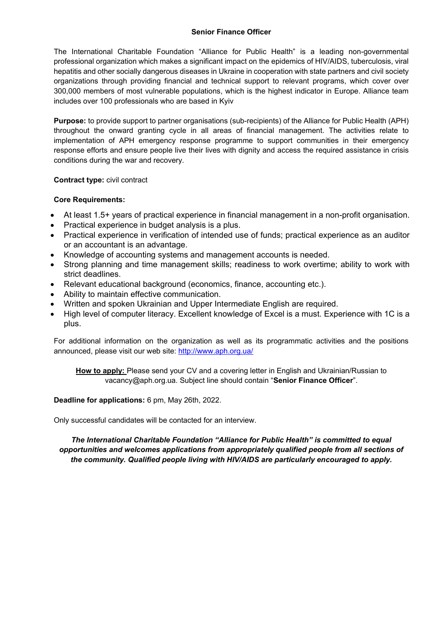### **Senior Finance Officer**

The International Charitable Foundation "Alliance for Public Health" is a leading non-governmental professional organization which makes a significant impact on the epidemics of HIV/AIDS, tuberculosis, viral hepatitis and other socially dangerous diseases in Ukraine in cooperation with state partners and civil society organizations through providing financial and technical support to relevant programs, which cover over 300,000 members of most vulnerable populations, which is the highest indicator in Europe. Alliance team includes over 100 professionals who are based in Kyiv

**Purpose:** to provide support to partner organisations (sub-recipients) of the Alliance for Public Health (APH) throughout the onward granting cycle in all areas of financial management. The activities relate to implementation of APH emergency response programme to support communities in their emergency response efforts and ensure people live their lives with dignity and access the required assistance in crisis conditions during the war and recovery.

## **Contract type:** civil contract

## **Core Requirements:**

- At least 1.5+ years of practical experience in financial management in a non-profit organisation.
- Practical experience in budget analysis is a plus.
- Practical experience in verification of intended use of funds; practical experience as an auditor or an accountant is an advantage.
- Knowledge of accounting systems and management accounts is needed.
- Strong planning and time management skills; readiness to work overtime; ability to work with strict deadlines.
- Relevant educational background (economics, finance, accounting etc.).
- Ability to maintain effective communication.
- x Written and spoken Ukrainian and Upper Intermediate English are required.
- High level of computer literacy. Excellent knowledge of Excel is a must. Experience with 1C is a plus.

For additional information on the organization as well as its programmatic activities and the positions announced, please visit our web site: http://www.aph.org.ua/

**How to apply:** Please send your CV and a covering letter in English and Ukrainian/Russian to vacancy@aph.org.ua. Subject line should contain "**Senior Finance Officer**".

#### **Deadline for applications:** 6 pm, May 26th, 2022.

Only successful candidates will be contacted for an interview.

*The International Charitable Foundation "Alliance for Public Health" is committed to equal opportunities and welcomes applications from appropriately qualified people from all sections of the community. Qualified people living with HIV/AIDS are particularly encouraged to apply.*